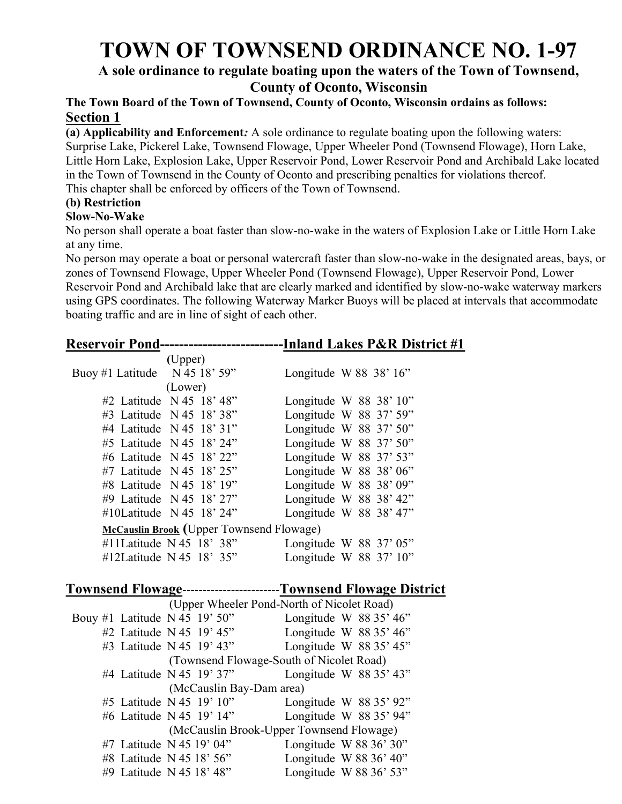# TOWN OF TOWNSEND ORDINANCE NO. 1-97

## A sole ordinance to regulate boating upon the waters of the Town of Townsend, County of Oconto, Wisconsin

## The Town Board of the Town of Townsend, County of Oconto, Wisconsin ordains as follows: Section 1

(a) Applicability and Enforcement: A sole ordinance to regulate boating upon the following waters: Surprise Lake, Pickerel Lake, Townsend Flowage, Upper Wheeler Pond (Townsend Flowage), Horn Lake, Little Horn Lake, Explosion Lake, Upper Reservoir Pond, Lower Reservoir Pond and Archibald Lake located in the Town of Townsend in the County of Oconto and prescribing penalties for violations thereof. This chapter shall be enforced by officers of the Town of Townsend.

# (b) Restriction

#### Slow-No-Wake

No person shall operate a boat faster than slow-no-wake in the waters of Explosion Lake or Little Horn Lake at any time.

No person may operate a boat or personal watercraft faster than slow-no-wake in the designated areas, bays, or zones of Townsend Flowage, Upper Wheeler Pond (Townsend Flowage), Upper Reservoir Pond, Lower Reservoir Pond and Archibald lake that are clearly marked and identified by slow-no-wake waterway markers using GPS coordinates. The following Waterway Marker Buoys will be placed at intervals that accommodate boating traffic and are in line of sight of each other.

| <b>Reservoir Pond-</b>                                           |                                            |
|------------------------------------------------------------------|--------------------------------------------|
| (Upper)                                                          |                                            |
| N 45 18' 59"<br>Buoy #1 Latitude                                 | Longitude W 88 38' 16"                     |
| (Lower)                                                          |                                            |
| #2 Latitude N 45 18' 48"                                         | Longitude W 88 38' 10"                     |
| #3 Latitude N 45 18' 38"                                         | Longitude W 88 37' 59"                     |
| #4 Latitude N 45 18' 31"                                         | Longitude W 88 37' 50"                     |
| #5 Latitude N 45 18' 24"                                         | Longitude W 88 37' 50"                     |
| #6 Latitude N 45 18' 22"                                         | Longitude W 88 37' 53"                     |
| #7 Latitude N 45 18' 25"                                         | Longitude W 88 38' 06"                     |
| #8 Latitude N 45 18' 19"                                         | Longitude W 88 38' 09"                     |
| #9 Latitude N 45 18' 27"                                         | Longitude W 88 38' 42"                     |
| #10Latitude N 45 18' 24"                                         | Longitude W 88 38' 47"                     |
| McCauslin Brook (Upper Townsend Flowage)                         |                                            |
| #11Latitude N 45 18' 38"                                         | Longitude W $88$ 37' 05"                   |
| #12Latitude N 45 18' 35"                                         | Longitude W 88 37' 10"                     |
|                                                                  |                                            |
| Townsend Flowage-----------------------Townsend Flowage District |                                            |
|                                                                  | (Upper Wheeler Pond-North of Nicolet Road) |
| Bouy #1 Latitude N 45 19' 50"                                    | Longitude W $8835'46"$                     |
| #2 Latitude N 45 $19'$ 45"                                       | Longitude W $8835'46"$                     |
| #3 Latitude N 45 19' 43"                                         | Longitude W 88 35' 45"                     |
|                                                                  | (Townsend Flowage-South of Nicolet Road)   |
| #4 Latitude N 45 19' 37"                                         | Longitude W 88 35' 43"                     |
| (McCauslin Bay-Dam area)                                         |                                            |
| #5 Latitude N 45 19' 10"                                         | Longitude W 88 35' 92"                     |
| #6 Latitude N 45 19' 14"                                         | Longitude W 88 35' 94"                     |
|                                                                  | (McCauslin Brook-Upper Townsend Flowage)   |
| #7 Latitude N 45 19' 04"                                         | Longitude W 88 36' 30"                     |
| #8 Latitude N 45 18' 56"                                         | Longitude W $88\,36'$ 40"                  |
| #9 Latitude N 45 18' 48"                                         | Longitude W 88 36' 53"                     |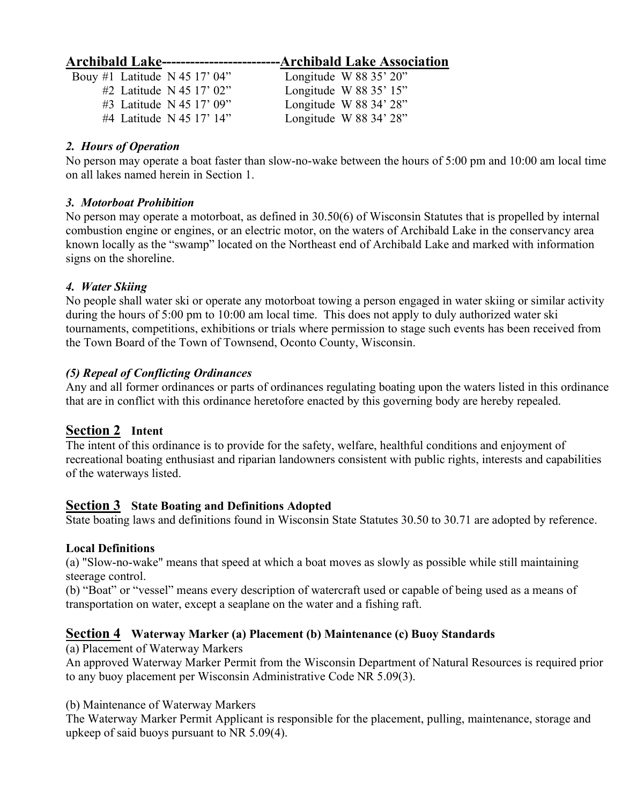# Archibald Lake-------------------------Archibald Lake Association

| Bouy #1 Latitude N 45 17' 04" | Longitude W $88\,35'$ $20''$ |
|-------------------------------|------------------------------|
| #2 Latitude N 45 17' 02"      | Longitude W $8835'15"$       |
| #3 Latitude N 45 17' 09"      | Longitude W 88 34' 28"       |
| #4 Latitude N 45 17' 14"      | Longitude W $88\,34'$ $28''$ |

## 2. Hours of Operation

No person may operate a boat faster than slow-no-wake between the hours of 5:00 pm and 10:00 am local time on all lakes named herein in Section 1.

## 3. Motorboat Prohibition

No person may operate a motorboat, as defined in 30.50(6) of Wisconsin Statutes that is propelled by internal combustion engine or engines, or an electric motor, on the waters of Archibald Lake in the conservancy area known locally as the "swamp" located on the Northeast end of Archibald Lake and marked with information signs on the shoreline.

## 4. Water Skiing

No people shall water ski or operate any motorboat towing a person engaged in water skiing or similar activity during the hours of 5:00 pm to 10:00 am local time. This does not apply to duly authorized water ski tournaments, competitions, exhibitions or trials where permission to stage such events has been received from the Town Board of the Town of Townsend, Oconto County, Wisconsin.

## (5) Repeal of Conflicting Ordinances

Any and all former ordinances or parts of ordinances regulating boating upon the waters listed in this ordinance that are in conflict with this ordinance heretofore enacted by this governing body are hereby repealed.

## Section 2 Intent

The intent of this ordinance is to provide for the safety, welfare, healthful conditions and enjoyment of recreational boating enthusiast and riparian landowners consistent with public rights, interests and capabilities of the waterways listed.

## **Section 3** State Boating and Definitions Adopted

State boating laws and definitions found in Wisconsin State Statutes 30.50 to 30.71 are adopted by reference.

## Local Definitions

(a) "Slow-no-wake" means that speed at which a boat moves as slowly as possible while still maintaining steerage control.

(b) "Boat" or "vessel" means every description of watercraft used or capable of being used as a means of transportation on water, except a seaplane on the water and a fishing raft.

## Section 4 Waterway Marker (a) Placement (b) Maintenance (c) Buoy Standards

(a) Placement of Waterway Markers

An approved Waterway Marker Permit from the Wisconsin Department of Natural Resources is required prior to any buoy placement per Wisconsin Administrative Code NR 5.09(3).

(b) Maintenance of Waterway Markers

The Waterway Marker Permit Applicant is responsible for the placement, pulling, maintenance, storage and upkeep of said buoys pursuant to NR 5.09(4).